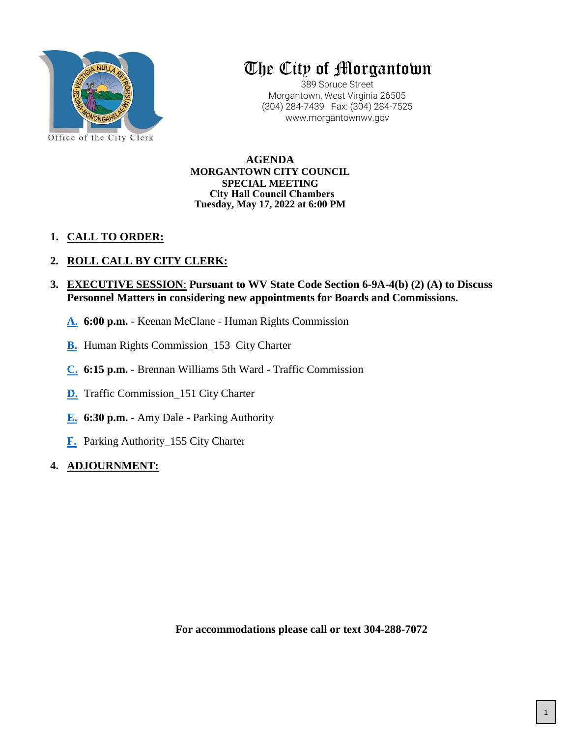

# The City of Morgantown

389 Spruce Street Morgantown, West Virginia 26505 (304) 284-7439 Fax: (304) 284-7525 www.morgantownwv.gov

**AGENDA MORGANTOWN CITY COUNCIL SPECIAL MEETING Tuesday, May 17, 2022 at 6:00 PM City Hall Council Chambers**

# **1. CALL TO ORDER:**

# **2. ROLL CALL BY CITY CLERK:**

- **3. EXECUTIVE SESSION**: **Pursuant to WV State Code Section 6-9A-4(b) (2) (A) to Discuss Personnel Matters in considering new appointments for Boards and Commissions.**
	- **A. 6:00 p.m.** Keenan McClane Human Rights Commission
	- **[B.](#page-1-0)** Human Rights Commission\_153 City Charter
	- **[C.](#page-3-0) 6:15 p.m.** Brennan Williams 5th Ward Traffic Commission
	- **[D.](#page-12-0)** Traffic Commission\_151 City Charter
	- **[E.](#page-14-0) 6:30 p.m.**  Amy Dale Parking Authority
	- **[F.](#page-15-0)** Parking Authority\_155 City Charter

## **4. [AD](#page-17-0)JOURNMENT:**

**For accommodations please call or text 304-288-7072**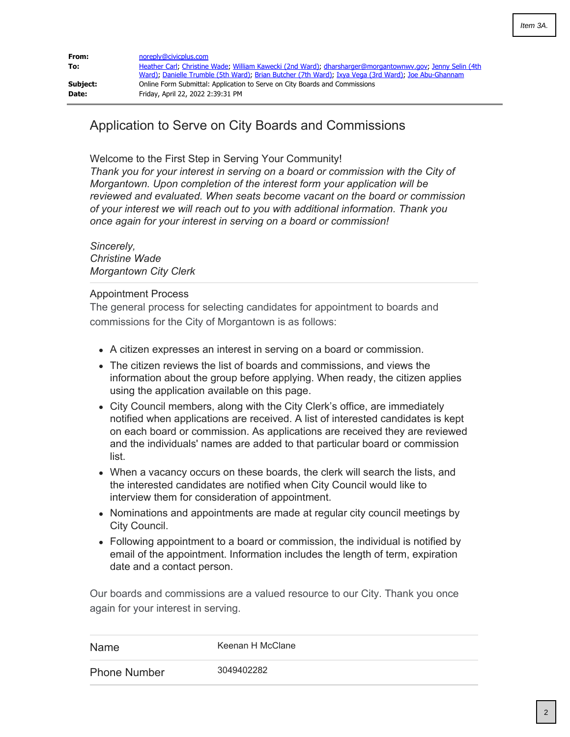<span id="page-1-0"></span>

| From:    | noreply@civicplus.com                                                                                                                                                                                           |
|----------|-----------------------------------------------------------------------------------------------------------------------------------------------------------------------------------------------------------------|
| To:      | Heather Carl, Christine Wade, William Kawecki (2nd Ward), dharsharger@morgantownwy.gov, Jenny Selin (4th<br>Ward); Danielle Trumble (5th Ward); Brian Butcher (7th Ward); Ixya Vega (3rd Ward); Joe Abu-Ghannam |
| Subject: | Online Form Submittal: Application to Serve on City Boards and Commissions                                                                                                                                      |
| Date:    | Friday, April 22, 2022 2:39:31 PM                                                                                                                                                                               |

# Application to Serve on City Boards and Commissions

Welcome to the First Step in Serving Your Community!

*Thank you for your interest in serving on a board or commission with the City of Morgantown. Upon completion of the interest form your application will be reviewed and evaluated. When seats become vacant on the board or commission of your interest we will reach out to you with additional information. Thank you once again for your interest in serving on a board or commission!*

*Sincerely, Christine Wade Morgantown City Clerk*

## Appointment Process

The general process for selecting candidates for appointment to boards and commissions for the City of Morgantown is as follows:

- A citizen expresses an interest in serving on a board or commission.
- The citizen reviews the list of boards and commissions, and views the information about the group before applying. When ready, the citizen applies using the application available on this page.
- City Council members, along with the City Clerk's office, are immediately notified when applications are received. A list of interested candidates is kept on each board or commission. As applications are received they are reviewed and the individuals' names are added to that particular board or commission list.
- When a vacancy occurs on these boards, the clerk will search the lists, and the interested candidates are notified when City Council would like to interview them for consideration of appointment.
- Nominations and appointments are made at regular city council meetings by City Council.
- Following appointment to a board or commission, the individual is notified by email of the appointment. Information includes the length of term, expiration date and a contact person.

Our boards and commissions are a valued resource to our City. Thank you once again for your interest in serving.

| Name                | Keenan H McClane |
|---------------------|------------------|
| <b>Phone Number</b> | 3049402282       |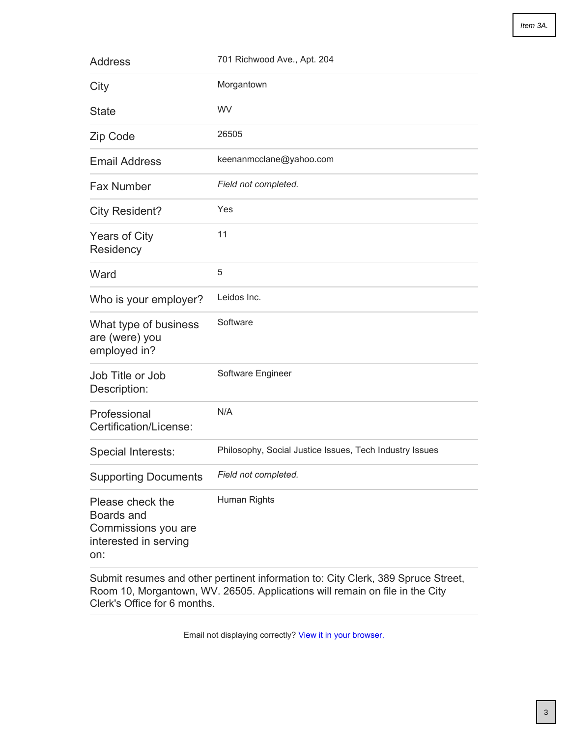| <b>Address</b>                                                                        | 701 Richwood Ave., Apt. 204                             |
|---------------------------------------------------------------------------------------|---------------------------------------------------------|
| City                                                                                  | Morgantown                                              |
| <b>State</b>                                                                          | WV                                                      |
| Zip Code                                                                              | 26505                                                   |
| <b>Email Address</b>                                                                  | keenanmcclane@yahoo.com                                 |
| <b>Fax Number</b>                                                                     | Field not completed.                                    |
| <b>City Resident?</b>                                                                 | Yes                                                     |
| <b>Years of City</b><br>Residency                                                     | 11                                                      |
| Ward                                                                                  | 5                                                       |
| Who is your employer?                                                                 | Leidos Inc.                                             |
| What type of business<br>are (were) you<br>employed in?                               | Software                                                |
| Job Title or Job<br>Description:                                                      | Software Engineer                                       |
| Professional<br>Certification/License:                                                | N/A                                                     |
| Special Interests:                                                                    | Philosophy, Social Justice Issues, Tech Industry Issues |
| <b>Supporting Documents</b>                                                           | Field not completed.                                    |
| Please check the<br>Boards and<br>Commissions you are<br>interested in serving<br>on: | Human Rights                                            |

Submit resumes and other pertinent information to: City Clerk, 389 Spruce Street, Room 10, Morgantown, WV. 26505. Applications will remain on file in the City Clerk's Office for 6 months.

Email not displaying correctly? [View it in your browser.](http://morgantownwv.gov/Admin/FormCenter/Submissions/Edit?id=1268&categoryID=0&formID=45&displayType= SubmissionsView&startDate= &endDate= &dateRange= Last30Days&searchKeyword= ¤tPage= 0&sortFieldID= 0&sortAscending= False&selectedFields= ¶meters= CivicPlus.Entities.Core.ModuleParameter&submissionDataDisplayType=0&backURL=%2fAdmin%2fFormCenter%2fSubmissions%2fIndex%2f45%3fcategoryID%3d7)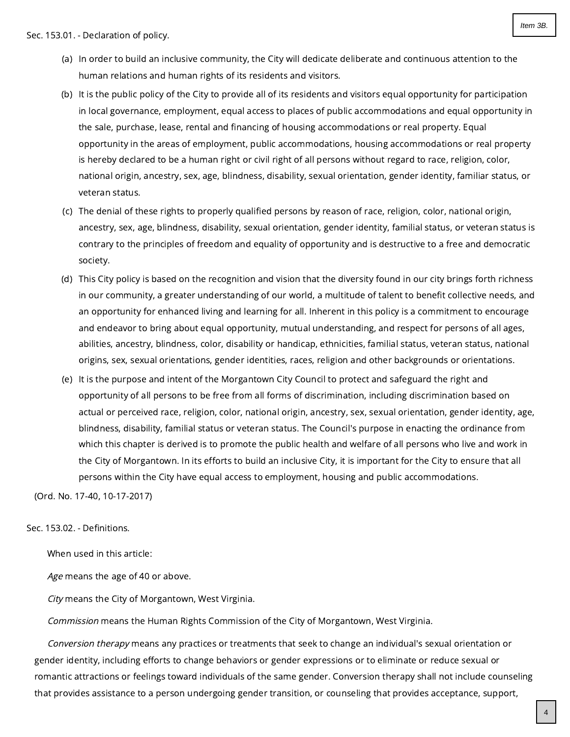- <span id="page-3-0"></span>(a) In order to build an inclusive community, the City will dedicate deliberate and continuous attention to the human relations and human rights of its residents and visitors.
- (b) It is the public policy of the City to provide all of its residents and visitors equal opportunity for participation in local governance, employment, equal access to places of public accommodations and equal opportunity in the sale, purchase, lease, rental and financing of housing accommodations or real property. Equal opportunity in the areas of employment, public accommodations, housing accommodations or real property is hereby declared to be a human right or civil right of all persons without regard to race, religion, color, national origin, ancestry, sex, age, blindness, disability, sexual orientation, gender identity, familiar status, or veteran status.
- (c) The denial of these rights to properly qualified persons by reason of race, religion, color, national origin, ancestry, sex, age, blindness, disability, sexual orientation, gender identity, familial status, or veteran status is contrary to the principles of freedom and equality of opportunity and is destructive to a free and democratic society.
- (d) This City policy is based on the recognition and vision that the diversity found in our city brings forth richness in our community, a greater understanding of our world, a multitude of talent to benefit collective needs, and an opportunity for enhanced living and learning for all. Inherent in this policy is a commitment to encourage and endeavor to bring about equal opportunity, mutual understanding, and respect for persons of all ages, abilities, ancestry, blindness, color, disability or handicap, ethnicities, familial status, veteran status, national origins, sex, sexual orientations, gender identities, races, religion and other backgrounds or orientations.
- (e) It is the purpose and intent of the Morgantown City Council to protect and safeguard the right and opportunity of all persons to be free from all forms of discrimination, including discrimination based on actual or perceived race, religion, color, national origin, ancestry, sex, sexual orientation, gender identity, age, blindness, disability, familial status or veteran status. The Council's purpose in enacting the ordinance from which this chapter is derived is to promote the public health and welfare of all persons who live and work in the City of Morgantown. In its efforts to build an inclusive City, it is important for the City to ensure that all persons within the City have equal access to employment, housing and public accommodations.

(Ord. No. 17-40, 10-17-2017)

## Sec. 153.02. - Definitions.

When used in this article:

Age means the age of 40 or above.

City means the City of Morgantown, West Virginia.

Commission means the Human Rights Commission of the City of Morgantown, West Virginia.

Conversion therapy means any practices or treatments that seek to change an individual's sexual orientation or gender identity, including efforts to change behaviors or gender expressions or to eliminate or reduce sexual or romantic attractions or feelings toward individuals of the same gender. Conversion therapy shall not include counseling that provides assistance to a person undergoing gender transition, or counseling that provides acceptance, support,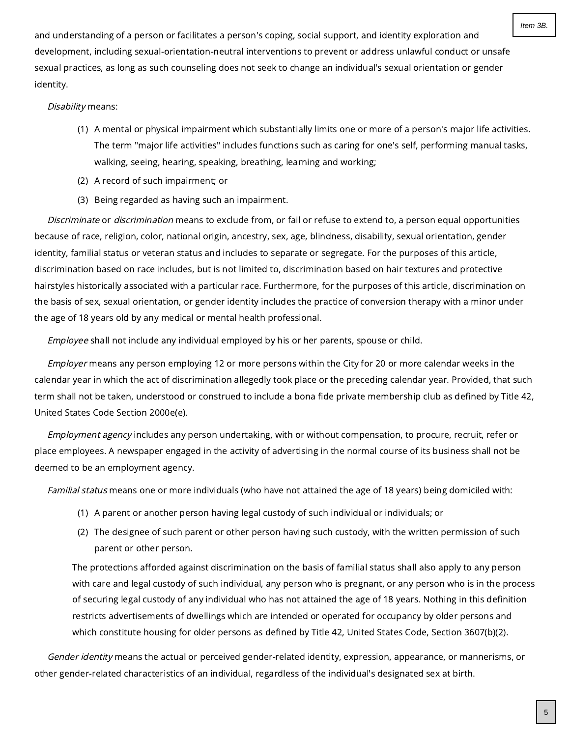and understanding of a person or facilitates a person's coping, social support, and identity exploration and development, including sexual-orientation-neutral interventions to prevent or address unlawful conduct or unsafe sexual practices, as long as such counseling does not seek to change an individual's sexual orientation or gender identity.

## Disability means:

- (1) A mental or physical impairment which substantially limits one or more of a person's major life activities. The term "major life activities" includes functions such as caring for one's self, performing manual tasks, walking, seeing, hearing, speaking, breathing, learning and working;
- (2) A record of such impairment; or
- (3) Being regarded as having such an impairment.

Discriminate or discrimination means to exclude from, or fail or refuse to extend to, a person equal opportunities because of race, religion, color, national origin, ancestry, sex, age, blindness, disability, sexual orientation, gender identity, familial status or veteran status and includes to separate or segregate. For the purposes of this article, discrimination based on race includes, but is not limited to, discrimination based on hair textures and protective hairstyles historically associated with a particular race. Furthermore, for the purposes of this article, discrimination on the basis of sex, sexual orientation, or gender identity includes the practice of conversion therapy with a minor under the age of 18 years old by any medical or mental health professional.

Employee shall not include any individual employed by his or her parents, spouse or child.

Employer means any person employing 12 or more persons within the City for 20 or more calendar weeks in the calendar year in which the act of discrimination allegedly took place or the preceding calendar year. Provided, that such term shall not be taken, understood or construed to include a bona fide private membership club as defined by Title 42, United States Code Section 2000e(e).

Employment agency includes any person undertaking, with or without compensation, to procure, recruit, refer or place employees. A newspaper engaged in the activity of advertising in the normal course of its business shall not be deemed to be an employment agency.

Familial status means one or more individuals (who have not attained the age of 18 years) being domiciled with:

- (1) A parent or another person having legal custody of such individual or individuals; or
- (2) The designee of such parent or other person having such custody, with the written permission of such parent or other person.

The protections afforded against discrimination on the basis of familial status shall also apply to any person with care and legal custody of such individual, any person who is pregnant, or any person who is in the process of securing legal custody of any individual who has not attained the age of 18 years. Nothing in this definition restricts advertisements of dwellings which are intended or operated for occupancy by older persons and which constitute housing for older persons as defined by Title 42, United States Code, Section 3607(b)(2).

Gender identity means the actual or perceived gender-related identity, expression, appearance, or mannerisms, or other gender-related characteristics of an individual, regardless of the individual's designated sex at birth.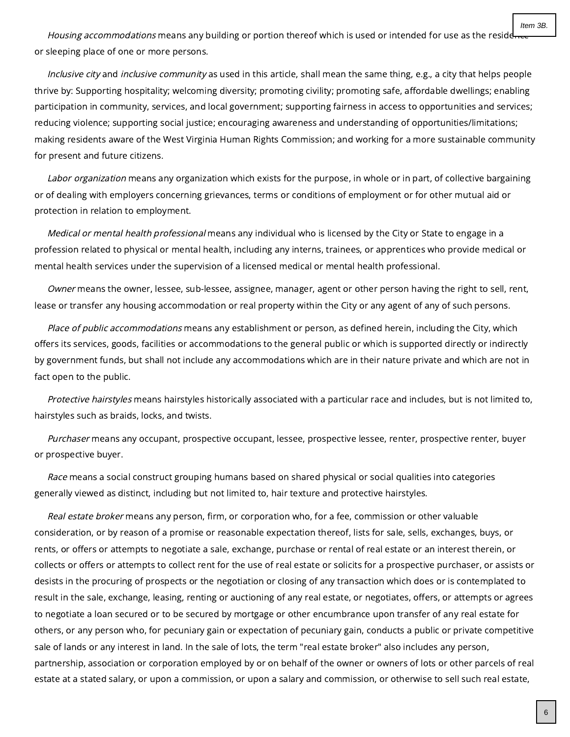Housing accommodations means any building or portion thereof which is used or intended for use as the reside or sleeping place of one or more persons.

Inclusive city and inclusive community as used in this article, shall mean the same thing, e.g., a city that helps people thrive by: Supporting hospitality; welcoming diversity; promoting civility; promoting safe, affordable dwellings; enabling participation in community, services, and local government; supporting fairness in access to opportunities and services; reducing violence; supporting social justice; encouraging awareness and understanding of opportunities/limitations; making residents aware of the West Virginia Human Rights Commission; and working for a more sustainable community for present and future citizens.

Labor organization means any organization which exists for the purpose, in whole or in part, of collective bargaining or of dealing with employers concerning grievances, terms or conditions of employment or for other mutual aid or protection in relation to employment.

Medical or mental health professional means any individual who is licensed by the City or State to engage in a profession related to physical or mental health, including any interns, trainees, or apprentices who provide medical or mental health services under the supervision of a licensed medical or mental health professional.

Owner means the owner, lessee, sub-lessee, assignee, manager, agent or other person having the right to sell, rent, lease or transfer any housing accommodation or real property within the City or any agent of any of such persons.

Place of public accommodations means any establishment or person, as defined herein, including the City, which offers its services, goods, facilities or accommodations to the general public or which is supported directly or indirectly by government funds, but shall not include any accommodations which are in their nature private and which are not in fact open to the public.

Protective hairstyles means hairstyles historically associated with a particular race and includes, but is not limited to, hairstyles such as braids, locks, and twists.

Purchaser means any occupant, prospective occupant, lessee, prospective lessee, renter, prospective renter, buyer or prospective buyer.

Race means a social construct grouping humans based on shared physical or social qualities into categories generally viewed as distinct, including but not limited to, hair texture and protective hairstyles.

Real estate broker means any person, firm, or corporation who, for a fee, commission or other valuable consideration, or by reason of a promise or reasonable expectation thereof, lists for sale, sells, exchanges, buys, or rents, or offers or attempts to negotiate a sale, exchange, purchase or rental of real estate or an interest therein, or collects or offers or attempts to collect rent for the use of real estate or solicits for a prospective purchaser, or assists or desists in the procuring of prospects or the negotiation or closing of any transaction which does or is contemplated to result in the sale, exchange, leasing, renting or auctioning of any real estate, or negotiates, offers, or attempts or agrees to negotiate a loan secured or to be secured by mortgage or other encumbrance upon transfer of any real estate for others, or any person who, for pecuniary gain or expectation of pecuniary gain, conducts a public or private competitive sale of lands or any interest in land. In the sale of lots, the term "real estate broker" also includes any person, partnership, association or corporation employed by or on behalf of the owner or owners of lots or other parcels of real estate at a stated salary, or upon a commission, or upon a salary and commission, or otherwise to sell such real estate,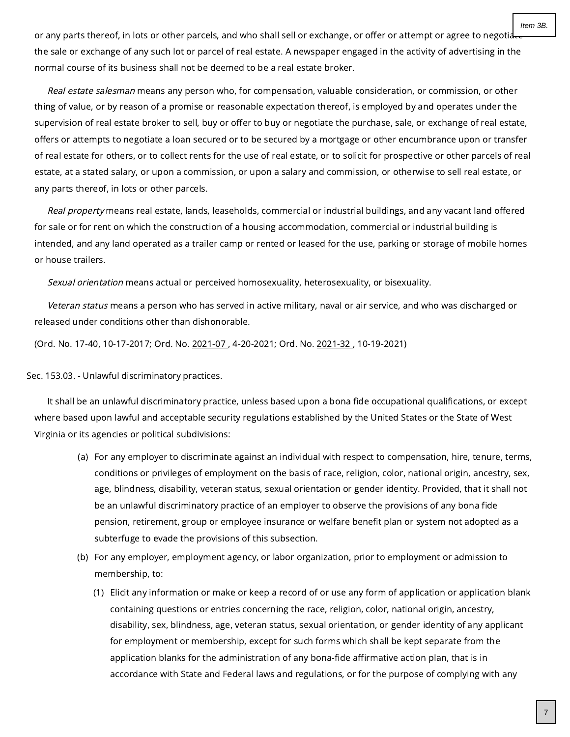Item 3B.

or any parts thereof, in lots or other parcels, and who shall sell or exchange, or offer or attempt or agree to negotia the sale or exchange of any such lot or parcel of real estate. A newspaper engaged in the activity of advertising in the normal course of its business shall not be deemed to be a real estate broker.

Real estate salesman means any person who, for compensation, valuable consideration, or commission, or other thing of value, or by reason of a promise or reasonable expectation thereof, is employed by and operates under the supervision of real estate broker to sell, buy or offer to buy or negotiate the purchase, sale, or exchange of real estate, offers or attempts to negotiate a loan secured or to be secured by a mortgage or other encumbrance upon or transfer of real estate for others, or to collect rents for the use of real estate, or to solicit for prospective or other parcels of real estate, at a stated salary, or upon a commission, or upon a salary and commission, or otherwise to sell real estate, or any parts thereof, in lots or other parcels.

Real property means real estate, lands, leaseholds, commercial or industrial buildings, and any vacant land offered for sale or for rent on which the construction of a housing accommodation, commercial or industrial building is intended, and any land operated as a trailer camp or rented or leased for the use, parking or storage of mobile homes or house trailers.

Sexual orientation means actual or perceived homosexuality, heterosexuality, or bisexuality.

Veteran status means a person who has served in active military, naval or air service, and who was discharged or released under conditions other than dishonorable.

(Ord. No. 17-40, 10-17-2017; Ord. No. [2021-07](https://library.municode.com/) , 4-20-2021; Ord. No. [2021-32](https://library.municode.com/) , 10-19-2021)

Sec. 153.03. - Unlawful discriminatory practices.

It shall be an unlawful discriminatory practice, unless based upon a bona fide occupational qualifications, or except where based upon lawful and acceptable security regulations established by the United States or the State of West Virginia or its agencies or political subdivisions:

- (a) For any employer to discriminate against an individual with respect to compensation, hire, tenure, terms, conditions or privileges of employment on the basis of race, religion, color, national origin, ancestry, sex, age, blindness, disability, veteran status, sexual orientation or gender identity. Provided, that it shall not be an unlawful discriminatory practice of an employer to observe the provisions of any bona fide pension, retirement, group or employee insurance or welfare benefit plan or system not adopted as a subterfuge to evade the provisions of this subsection.
- (b) For any employer, employment agency, or labor organization, prior to employment or admission to membership, to:
	- (1) Elicit any information or make or keep a record of or use any form of application or application blank containing questions or entries concerning the race, religion, color, national origin, ancestry, disability, sex, blindness, age, veteran status, sexual orientation, or gender identity of any applicant for employment or membership, except for such forms which shall be kept separate from the application blanks for the administration of any bona-fide affirmative action plan, that is in accordance with State and Federal laws and regulations, or for the purpose of complying with any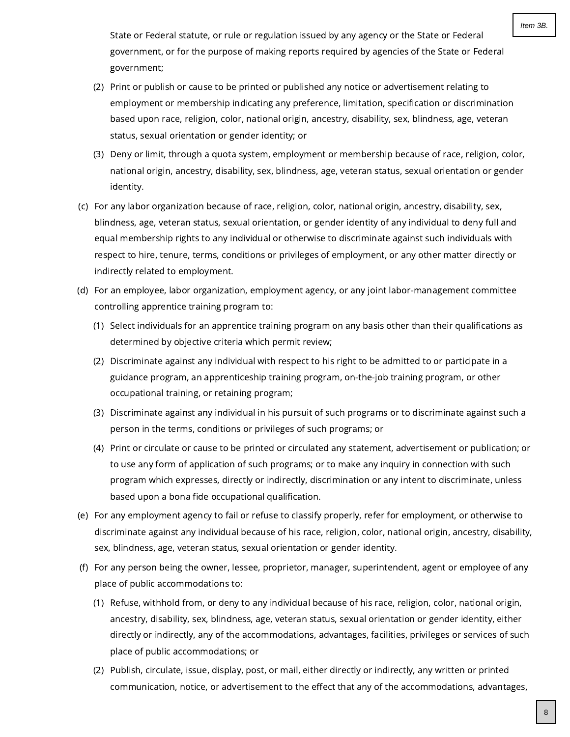State or Federal statute, or rule or regulation issued by any agency or the State or Federal government, or for the purpose of making reports required by agencies of the State or Federal government;

- (2) Print or publish or cause to be printed or published any notice or advertisement relating to employment or membership indicating any preference, limitation, specification or discrimination based upon race, religion, color, national origin, ancestry, disability, sex, blindness, age, veteran status, sexual orientation or gender identity; or
- (3) Deny or limit, through a quota system, employment or membership because of race, religion, color, national origin, ancestry, disability, sex, blindness, age, veteran status, sexual orientation or gender identity.
- (c) For any labor organization because of race, religion, color, national origin, ancestry, disability, sex, blindness, age, veteran status, sexual orientation, or gender identity of any individual to deny full and equal membership rights to any individual or otherwise to discriminate against such individuals with respect to hire, tenure, terms, conditions or privileges of employment, or any other matter directly or indirectly related to employment.
- (d) For an employee, labor organization, employment agency, or any joint labor-management committee controlling apprentice training program to:
	- (1) Select individuals for an apprentice training program on any basis other than their qualifications as determined by objective criteria which permit review;
	- (2) Discriminate against any individual with respect to his right to be admitted to or participate in a guidance program, an apprenticeship training program, on-the-job training program, or other occupational training, or retaining program;
	- (3) Discriminate against any individual in his pursuit of such programs or to discriminate against such a person in the terms, conditions or privileges of such programs; or
	- (4) Print or circulate or cause to be printed or circulated any statement, advertisement or publication; or to use any form of application of such programs; or to make any inquiry in connection with such program which expresses, directly or indirectly, discrimination or any intent to discriminate, unless based upon a bona fide occupational qualification.
- (e) For any employment agency to fail or refuse to classify properly, refer for employment, or otherwise to discriminate against any individual because of his race, religion, color, national origin, ancestry, disability, sex, blindness, age, veteran status, sexual orientation or gender identity.
- (f) For any person being the owner, lessee, proprietor, manager, superintendent, agent or employee of any place of public accommodations to:
	- (1) Refuse, withhold from, or deny to any individual because of his race, religion, color, national origin, ancestry, disability, sex, blindness, age, veteran status, sexual orientation or gender identity, either directly or indirectly, any of the accommodations, advantages, facilities, privileges or services of such place of public accommodations; or
	- (2) Publish, circulate, issue, display, post, or mail, either directly or indirectly, any written or printed communication, notice, or advertisement to the effect that any of the accommodations, advantages,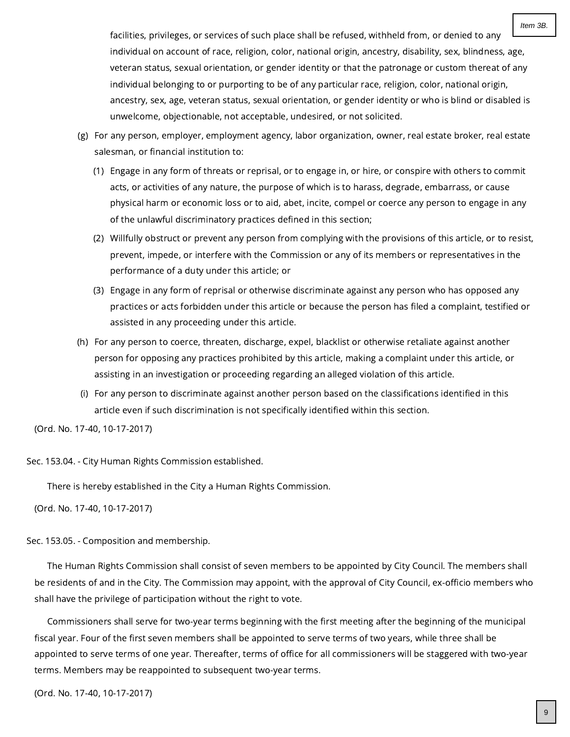facilities, privileges, or services of such place shall be refused, withheld from, or denied to any individual on account of race, religion, color, national origin, ancestry, disability, sex, blindness, age, veteran status, sexual orientation, or gender identity or that the patronage or custom thereat of any individual belonging to or purporting to be of any particular race, religion, color, national origin, ancestry, sex, age, veteran status, sexual orientation, or gender identity or who is blind or disabled is unwelcome, objectionable, not acceptable, undesired, or not solicited.

- (g) For any person, employer, employment agency, labor organization, owner, real estate broker, real estate salesman, or financial institution to:
	- (1) Engage in any form of threats or reprisal, or to engage in, or hire, or conspire with others to commit acts, or activities of any nature, the purpose of which is to harass, degrade, embarrass, or cause physical harm or economic loss or to aid, abet, incite, compel or coerce any person to engage in any of the unlawful discriminatory practices defined in this section;
	- (2) Willfully obstruct or prevent any person from complying with the provisions of this article, or to resist, prevent, impede, or interfere with the Commission or any of its members or representatives in the performance of a duty under this article; or
	- (3) Engage in any form of reprisal or otherwise discriminate against any person who has opposed any practices or acts forbidden under this article or because the person has filed a complaint, testified or assisted in any proceeding under this article.
- (h) For any person to coerce, threaten, discharge, expel, blacklist or otherwise retaliate against another person for opposing any practices prohibited by this article, making a complaint under this article, or assisting in an investigation or proceeding regarding an alleged violation of this article.
- (i) For any person to discriminate against another person based on the classifications identified in this article even if such discrimination is not specifically identified within this section.

(Ord. No. 17-40, 10-17-2017)

Sec. 153.04. - City Human Rights Commission established.

There is hereby established in the City a Human Rights Commission.

(Ord. No. 17-40, 10-17-2017)

Sec. 153.05. - Composition and membership.

The Human Rights Commission shall consist of seven members to be appointed by City Council. The members shall be residents of and in the City. The Commission may appoint, with the approval of City Council, ex-officio members who shall have the privilege of participation without the right to vote.

Commissioners shall serve for two-year terms beginning with the first meeting after the beginning of the municipal fiscal year. Four of the first seven members shall be appointed to serve terms of two years, while three shall be appointed to serve terms of one year. Thereafter, terms of office for all commissioners will be staggered with two-year terms. Members may be reappointed to subsequent two-year terms.

(Ord. No. 17-40, 10-17-2017)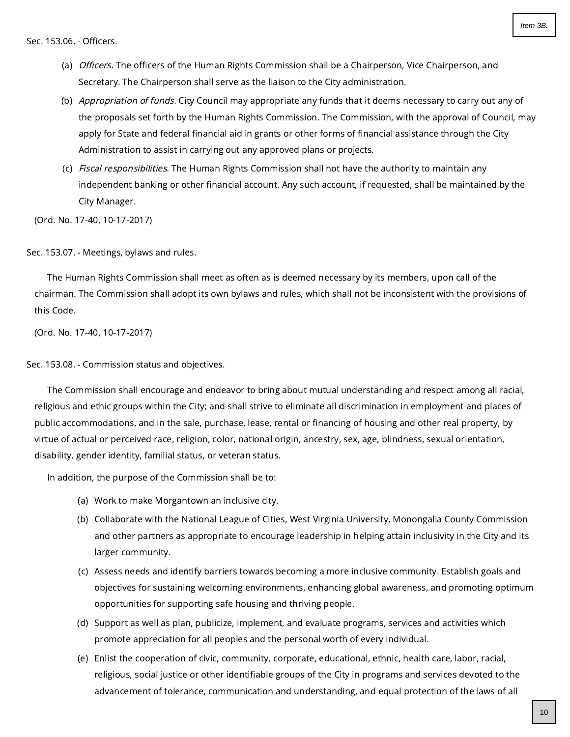- (a) *Officers.* The officers of the Human Rights Commission shall be a Chairperson, Vice Chairperson, and Secretary. The Chairperson shall serve as the liaison to the City administration.
- (b) *Appropriation of funds.* City Council may appropriate any funds that it deems necessary to carry out any of the proposals set forth by the Human Rights Commission. The Commission, with the approval of Council, may apply for State and federal financial aid in grants or other forms of financial assistance through the City Administration to assist in carrying out any approved plans or projects.
- (c) *Fiscal responsibilities.* The Human Rights Commission shall not have the authority to maintain any independent banking or other financial account. Any such account, if requested, shall be maintained by the City Manager.

(Ord. No. 17-40, 10-17-2017)

Sec. 153.07. - Meetings, bylaws and rules.

The Human Rights Commission shall meet as often as is deemed necessary by its members, upon call of the chairman. The Commission shall adopt its own bylaws and rules, which shall not be inconsistent with the provisions of this Code.

(Ord. No. 17-40, 10-17-2017)

Sec. 153.08. - Commission status and objectives.

The Commission shall encourage and endeavor to bring about mutual understanding and respect among all racial, religious and ethic groups within the City; and shall strive to eliminate all discrimination in employment and places of public accommodations, and in the sale, purchase, lease, rental or financing of housing and other real property, by virtue of actual or perceived race, religion, color, national origin, ancestry, sex, age, blindness, sexual orientation, disability, gender identity, familial status, or veteran status.

In addition, the purpose of the Commission shall be to:

- (a) Work to make Morgantown an inclusive city.
- (b) Collaborate with the National League of Cities, West Virginia University, Monongalia County Commission and other partners as appropriate to encourage leadership in helping attain inclusivity in the City and its larger community.
- (c) Assess needs and identify barriers towards becoming a more inclusive community. Establish goals and objectives for sustaining welcoming environments, enhancing global awareness, and promoting optimum opportunities for supporting safe housing and thriving people.
- (d) Support as well as plan, publicize, implement, and evaluate programs, services and activities which promote appreciation for all peoples and the personal worth of every individual.
- (e) Enlist the cooperation of civic, community, corporate, educational, ethnic, health care, labor, racial, religious, social justice or other identifiable groups of the City in programs and services devoted to the advancement of tolerance, communication and understanding, and equal protection of the laws of all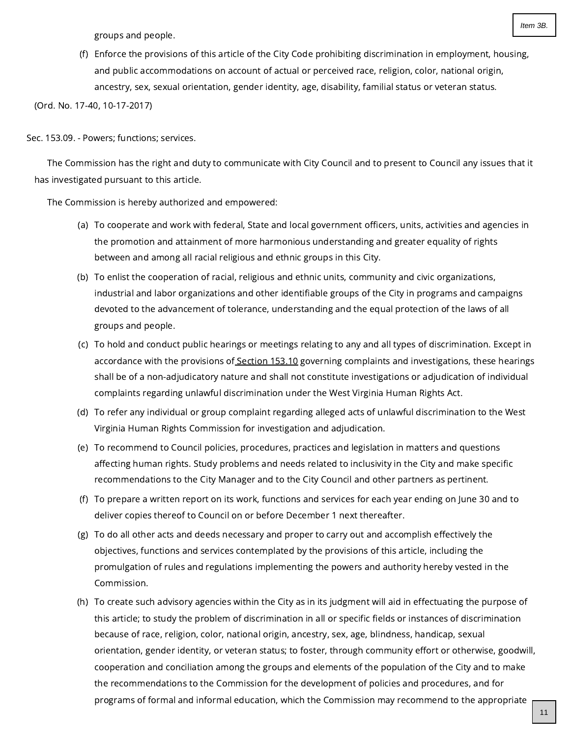groups and people.

(f) Enforce the provisions of this article of the City Code prohibiting discrimination in employment, housing, and public accommodations on account of actual or perceived race, religion, color, national origin, ancestry, sex, sexual orientation, gender identity, age, disability, familial status or veteran status.

(Ord. No. 17-40, 10-17-2017)

## Sec. 153.09. - Powers; functions; services.

The Commission has the right and duty to communicate with City Council and to present to Council any issues that it has investigated pursuant to this article.

The Commission is hereby authorized and empowered:

- (a) To cooperate and work with federal, State and local government officers, units, activities and agencies in the promotion and attainment of more harmonious understanding and greater equality of rights between and among all racial religious and ethnic groups in this City.
- (b) To enlist the cooperation of racial, religious and ethnic units, community and civic organizations, industrial and labor organizations and other identifiable groups of the City in programs and campaigns devoted to the advancement of tolerance, understanding and the equal protection of the laws of all groups and people.
- (c) To hold and conduct public hearings or meetings relating to any and all types of discrimination. Except in accordance with the provisions of [Section](https://library.municode.com/) 153.10 governing complaints and investigations, these hearings shall be of a non-adjudicatory nature and shall not constitute investigations or adjudication of individual complaints regarding unlawful discrimination under the West Virginia Human Rights Act.
- (d) To refer any individual or group complaint regarding alleged acts of unlawful discrimination to the West Virginia Human Rights Commission for investigation and adjudication.
- (e) To recommend to Council policies, procedures, practices and legislation in matters and questions affecting human rights. Study problems and needs related to inclusivity in the City and make specific recommendations to the City Manager and to the City Council and other partners as pertinent.
- (f) To prepare a written report on its work, functions and services for each year ending on June 30 and to deliver copies thereof to Council on or before December 1 next thereafter.
- (g) To do all other acts and deeds necessary and proper to carry out and accomplish effectively the objectives, functions and services contemplated by the provisions of this article, including the promulgation of rules and regulations implementing the powers and authority hereby vested in the Commission.
- (h) To create such advisory agencies within the City as in its judgment will aid in effectuating the purpose of this article; to study the problem of discrimination in all or specific fields or instances of discrimination because of race, religion, color, national origin, ancestry, sex, age, blindness, handicap, sexual orientation, gender identity, or veteran status; to foster, through community effort or otherwise, goodwill, cooperation and conciliation among the groups and elements of the population of the City and to make the recommendations to the Commission for the development of policies and procedures, and for programs of formal and informal education, which the Commission may recommend to the appropriate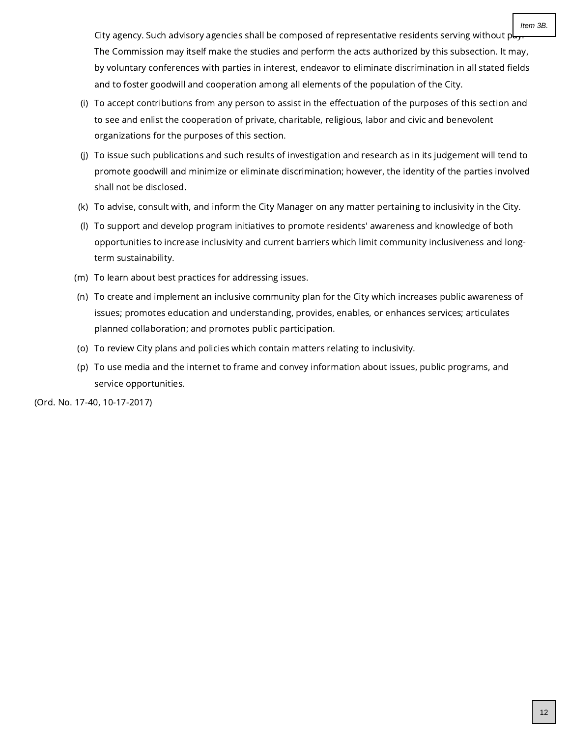City agency. Such advisory agencies shall be composed of representative residents serving without  $p_{\text{c}}$ The Commission may itself make the studies and perform the acts authorized by this subsection. It may, by voluntary conferences with parties in interest, endeavor to eliminate discrimination in all stated fields and to foster goodwill and cooperation among all elements of the population of the City.

- (i) To accept contributions from any person to assist in the effectuation of the purposes of this section and to see and enlist the cooperation of private, charitable, religious, labor and civic and benevolent organizations for the purposes of this section.
- (j) To issue such publications and such results of investigation and research as in its judgement will tend to promote goodwill and minimize or eliminate discrimination; however, the identity of the parties involved shall not be disclosed.
- (k) To advise, consult with, and inform the City Manager on any matter pertaining to inclusivity in the City.
- (l) To support and develop program initiatives to promote residents' awareness and knowledge of both opportunities to increase inclusivity and current barriers which limit community inclusiveness and longterm sustainability.
- (m) To learn about best practices for addressing issues.
- (n) To create and implement an inclusive community plan for the City which increases public awareness of issues; promotes education and understanding, provides, enables, or enhances services; articulates planned collaboration; and promotes public participation.
- (o) To review City plans and policies which contain matters relating to inclusivity.
- (p) To use media and the internet to frame and convey information about issues, public programs, and service opportunities.

(Ord. No. 17-40, 10-17-2017)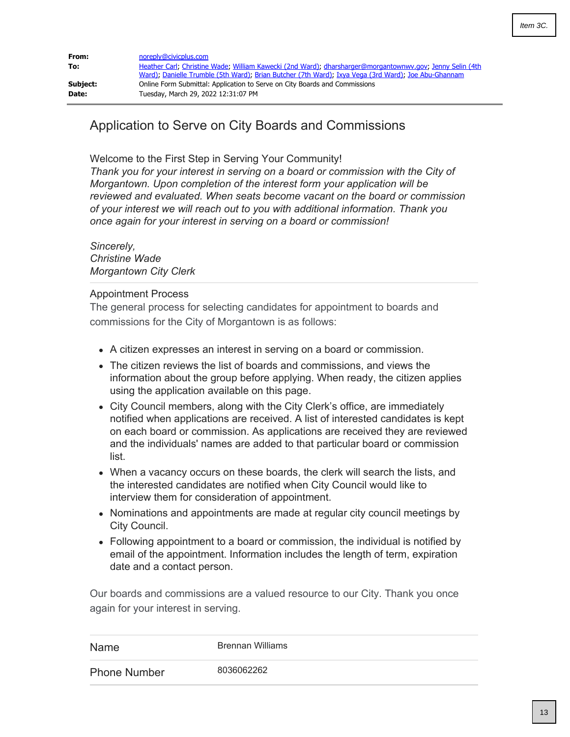<span id="page-12-0"></span>

| From:    | noreply@civicplus.com                                                                                                                                                                                           |
|----------|-----------------------------------------------------------------------------------------------------------------------------------------------------------------------------------------------------------------|
| To:      | Heather Carl, Christine Wade; William Kawecki (2nd Ward); dharsharger@morgantownwy.gov; Jenny Selin (4th<br>Ward); Danielle Trumble (5th Ward); Brian Butcher (7th Ward); Ixya Vega (3rd Ward); Joe Abu-Ghannam |
| Subject: | Online Form Submittal: Application to Serve on City Boards and Commissions                                                                                                                                      |
| Date:    | Tuesday, March 29, 2022 12:31:07 PM                                                                                                                                                                             |

# Application to Serve on City Boards and Commissions

Welcome to the First Step in Serving Your Community!

*Thank you for your interest in serving on a board or commission with the City of Morgantown. Upon completion of the interest form your application will be reviewed and evaluated. When seats become vacant on the board or commission of your interest we will reach out to you with additional information. Thank you once again for your interest in serving on a board or commission!*

*Sincerely, Christine Wade Morgantown City Clerk*

## Appointment Process

The general process for selecting candidates for appointment to boards and commissions for the City of Morgantown is as follows:

- A citizen expresses an interest in serving on a board or commission.
- The citizen reviews the list of boards and commissions, and views the information about the group before applying. When ready, the citizen applies using the application available on this page.
- City Council members, along with the City Clerk's office, are immediately notified when applications are received. A list of interested candidates is kept on each board or commission. As applications are received they are reviewed and the individuals' names are added to that particular board or commission list.
- When a vacancy occurs on these boards, the clerk will search the lists, and the interested candidates are notified when City Council would like to interview them for consideration of appointment.
- Nominations and appointments are made at regular city council meetings by City Council.
- Following appointment to a board or commission, the individual is notified by email of the appointment. Information includes the length of term, expiration date and a contact person.

Our boards and commissions are a valued resource to our City. Thank you once again for your interest in serving.

| Name                | Brennan Williams |
|---------------------|------------------|
| <b>Phone Number</b> | 8036062262       |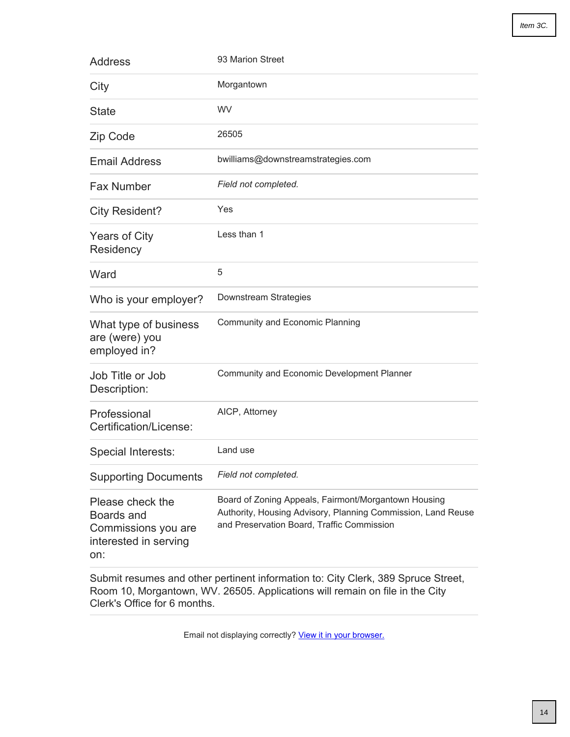| <b>Address</b>                                                                        | 93 Marion Street                                                                                                                                                   |
|---------------------------------------------------------------------------------------|--------------------------------------------------------------------------------------------------------------------------------------------------------------------|
| City                                                                                  | Morgantown                                                                                                                                                         |
| <b>State</b>                                                                          | <b>WV</b>                                                                                                                                                          |
| Zip Code                                                                              | 26505                                                                                                                                                              |
| <b>Email Address</b>                                                                  | bwilliams@downstreamstrategies.com                                                                                                                                 |
| <b>Fax Number</b>                                                                     | Field not completed.                                                                                                                                               |
| <b>City Resident?</b>                                                                 | Yes                                                                                                                                                                |
| <b>Years of City</b><br>Residency                                                     | Less than 1                                                                                                                                                        |
| Ward                                                                                  | 5                                                                                                                                                                  |
| Who is your employer?                                                                 | Downstream Strategies                                                                                                                                              |
| What type of business<br>are (were) you<br>employed in?                               | Community and Economic Planning                                                                                                                                    |
| Job Title or Job<br>Description:                                                      | <b>Community and Economic Development Planner</b>                                                                                                                  |
| Professional<br>Certification/License:                                                | AICP, Attorney                                                                                                                                                     |
| Special Interests:                                                                    | Land use                                                                                                                                                           |
| <b>Supporting Documents</b>                                                           | Field not completed.                                                                                                                                               |
| Please check the<br>Boards and<br>Commissions you are<br>interested in serving<br>on: | Board of Zoning Appeals, Fairmont/Morgantown Housing<br>Authority, Housing Advisory, Planning Commission, Land Reuse<br>and Preservation Board, Traffic Commission |

Submit resumes and other pertinent information to: City Clerk, 389 Spruce Street, Room 10, Morgantown, WV. 26505. Applications will remain on file in the City Clerk's Office for 6 months.

Email not displaying correctly? [View it in your browser.](http://www.morgantownwv.gov/Admin/FormCenter/Submissions/Edit?id=1248&categoryID=0&formID=45&displayType= SubmissionsView&startDate= &endDate= &dateRange= Last30Days&searchKeyword= ¤tPage= 0&sortFieldID= 0&sortAscending= False&selectedFields= ¶meters= CivicPlus.Entities.Core.ModuleParameter&submissionDataDisplayType=0&backURL=%2fAdmin%2fFormCenter%2fSubmissions%2fIndex%2f45%3fcategoryID%3d7)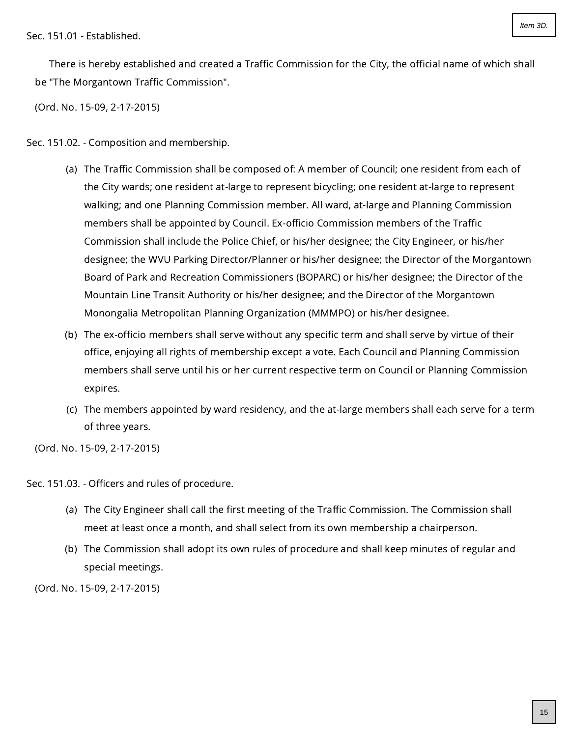<span id="page-14-0"></span>Sec. 151.01 - Established.

There is hereby established and created a Traffic Commission for the City, the official name of which shall be "The Morgantown Traffic Commission".

(Ord. No. 15-09, 2-17-2015)

Sec. 151.02. - Composition and membership.

- (a) The Traffic Commission shall be composed of: A member of Council; one resident from each of the City wards; one resident at-large to represent bicycling; one resident at-large to represent walking; and one Planning Commission member. All ward, at-large and Planning Commission members shall be appointed by Council. Ex-officio Commission members of the Traffic Commission shall include the Police Chief, or his/her designee; the City Engineer, or his/her designee; the WVU Parking Director/Planner or his/her designee; the Director of the Morgantown Board of Park and Recreation Commissioners (BOPARC) or his/her designee; the Director of the Mountain Line Transit Authority or his/her designee; and the Director of the Morgantown Monongalia Metropolitan Planning Organization (MMMPO) or his/her designee.
- (b) The ex-officio members shall serve without any specific term and shall serve by virtue of their office, enjoying all rights of membership except a vote. Each Council and Planning Commission members shall serve until his or her current respective term on Council or Planning Commission expires.
- (c) The members appointed by ward residency, and the at-large members shall each serve for a term of three years.

(Ord. No. 15-09, 2-17-2015)

Sec. 151.03. - Officers and rules of procedure.

- (a) The City Engineer shall call the first meeting of the Traffic Commission. The Commission shall meet at least once a month, and shall select from its own membership a chairperson.
- (b) The Commission shall adopt its own rules of procedure and shall keep minutes of regular and special meetings.

(Ord. No. 15-09, 2-17-2015)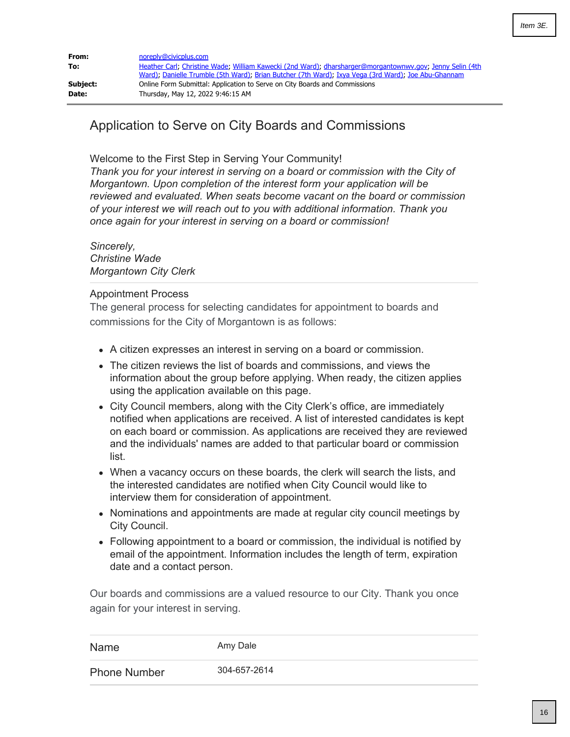<span id="page-15-0"></span>

| From:<br>To: | noreply@civicplus.com<br>Heather Carl, Christine Wade, William Kawecki (2nd Ward), dharsharger@morgantownwy.gov, Jenny Selin (4th<br>Ward); Danielle Trumble (5th Ward); Brian Butcher (7th Ward); Ixya Vega (3rd Ward); Joe Abu-Ghannam |
|--------------|------------------------------------------------------------------------------------------------------------------------------------------------------------------------------------------------------------------------------------------|
| Subject:     | Online Form Submittal: Application to Serve on City Boards and Commissions                                                                                                                                                               |
| Date:        | Thursday, May 12, 2022 9:46:15 AM                                                                                                                                                                                                        |

# Application to Serve on City Boards and Commissions

Welcome to the First Step in Serving Your Community!

*Thank you for your interest in serving on a board or commission with the City of Morgantown. Upon completion of the interest form your application will be reviewed and evaluated. When seats become vacant on the board or commission of your interest we will reach out to you with additional information. Thank you once again for your interest in serving on a board or commission!*

*Sincerely, Christine Wade Morgantown City Clerk*

## Appointment Process

The general process for selecting candidates for appointment to boards and commissions for the City of Morgantown is as follows:

- A citizen expresses an interest in serving on a board or commission.
- The citizen reviews the list of boards and commissions, and views the information about the group before applying. When ready, the citizen applies using the application available on this page.
- City Council members, along with the City Clerk's office, are immediately notified when applications are received. A list of interested candidates is kept on each board or commission. As applications are received they are reviewed and the individuals' names are added to that particular board or commission list.
- When a vacancy occurs on these boards, the clerk will search the lists, and the interested candidates are notified when City Council would like to interview them for consideration of appointment.
- Nominations and appointments are made at regular city council meetings by City Council.
- Following appointment to a board or commission, the individual is notified by email of the appointment. Information includes the length of term, expiration date and a contact person.

Our boards and commissions are a valued resource to our City. Thank you once again for your interest in serving.

| <b>Name</b>         | Amy Dale     |
|---------------------|--------------|
| <b>Phone Number</b> | 304-657-2614 |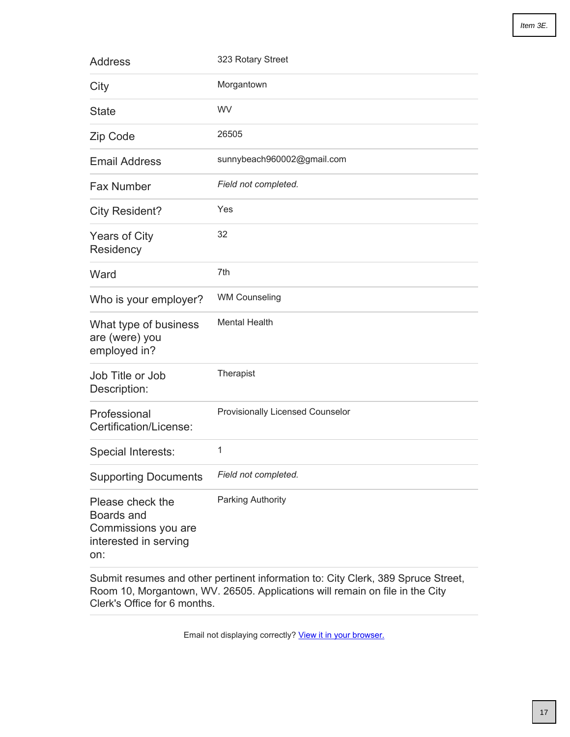| <b>Address</b>                                                                        | 323 Rotary Street                |
|---------------------------------------------------------------------------------------|----------------------------------|
| City                                                                                  | Morgantown                       |
| <b>State</b>                                                                          | WV                               |
| Zip Code                                                                              | 26505                            |
| <b>Email Address</b>                                                                  | sunnybeach960002@gmail.com       |
| <b>Fax Number</b>                                                                     | Field not completed.             |
| <b>City Resident?</b>                                                                 | Yes                              |
| <b>Years of City</b><br>Residency                                                     | 32                               |
| Ward                                                                                  | 7th                              |
| Who is your employer?                                                                 | <b>WM Counseling</b>             |
| What type of business<br>are (were) you<br>employed in?                               | <b>Mental Health</b>             |
| Job Title or Job<br>Description:                                                      | Therapist                        |
| Professional<br>Certification/License:                                                | Provisionally Licensed Counselor |
| Special Interests:                                                                    | 1                                |
| <b>Supporting Documents</b>                                                           | Field not completed.             |
| Please check the<br>Boards and<br>Commissions you are<br>interested in serving<br>on: | <b>Parking Authority</b>         |

Submit resumes and other pertinent information to: City Clerk, 389 Spruce Street, Room 10, Morgantown, WV. 26505. Applications will remain on file in the City Clerk's Office for 6 months.

Email not displaying correctly? [View it in your browser.](http://morgantownwv.gov/Admin/FormCenter/Submissions/Edit?id=1302&categoryID=0&formID=45&displayType= SubmissionsView&startDate= &endDate= &dateRange= Last30Days&searchKeyword= ¤tPage= 0&sortFieldID= 0&sortAscending= False&selectedFields= ¶meters= CivicPlus.Entities.Core.ModuleParameter&submissionDataDisplayType=0&backURL=%2fAdmin%2fFormCenter%2fSubmissions%2fIndex%2f45%3fcategoryID%3d7)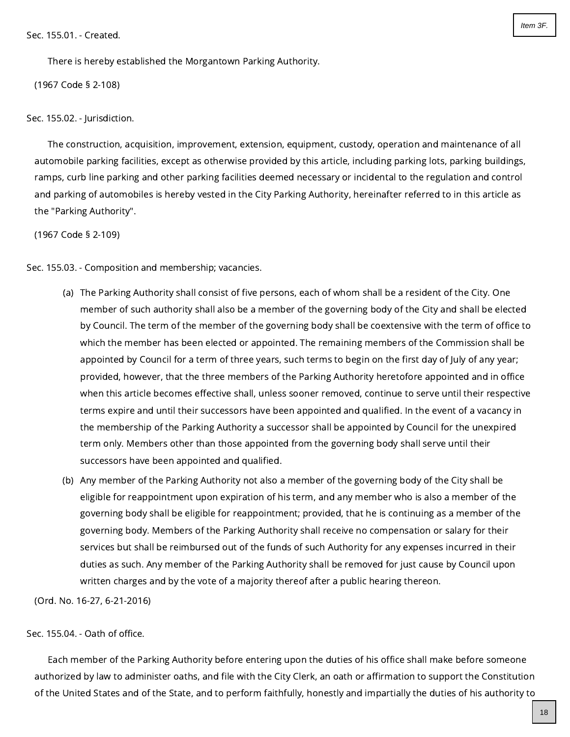<span id="page-17-0"></span>There is hereby established the Morgantown Parking Authority.

(1967 Code § 2-108)

Sec. 155.02. - Jurisdiction.

The construction, acquisition, improvement, extension, equipment, custody, operation and maintenance of all automobile parking facilities, except as otherwise provided by this article, including parking lots, parking buildings, ramps, curb line parking and other parking facilities deemed necessary or incidental to the regulation and control and parking of automobiles is hereby vested in the City Parking Authority, hereinafter referred to in this article as the "Parking Authority".

(1967 Code § 2-109)

Sec. 155.03. - Composition and membership; vacancies.

- (a) The Parking Authority shall consist of five persons, each of whom shall be a resident of the City. One member of such authority shall also be a member of the governing body of the City and shall be elected by Council. The term of the member of the governing body shall be coextensive with the term of office to which the member has been elected or appointed. The remaining members of the Commission shall be appointed by Council for a term of three years, such terms to begin on the first day of July of any year; provided, however, that the three members of the Parking Authority heretofore appointed and in office when this article becomes effective shall, unless sooner removed, continue to serve until their respective terms expire and until their successors have been appointed and qualified. In the event of a vacancy in the membership of the Parking Authority a successor shall be appointed by Council for the unexpired term only. Members other than those appointed from the governing body shall serve until their successors have been appointed and qualified.
- (b) Any member of the Parking Authority not also a member of the governing body of the City shall be eligible for reappointment upon expiration of his term, and any member who is also a member of the governing body shall be eligible for reappointment; provided, that he is continuing as a member of the governing body. Members of the Parking Authority shall receive no compensation or salary for their services but shall be reimbursed out of the funds of such Authority for any expenses incurred in their duties as such. Any member of the Parking Authority shall be removed for just cause by Council upon written charges and by the vote of a majority thereof after a public hearing thereon.

(Ord. No. 16-27, 6-21-2016)

Sec. 155.04. - Oath of office.

Each member of the Parking Authority before entering upon the duties of his office shall make before someone authorized by law to administer oaths, and file with the City Clerk, an oath or affirmation to support the Constitution of the United States and of the State, and to perform faithfully, honestly and impartially the duties of his authority to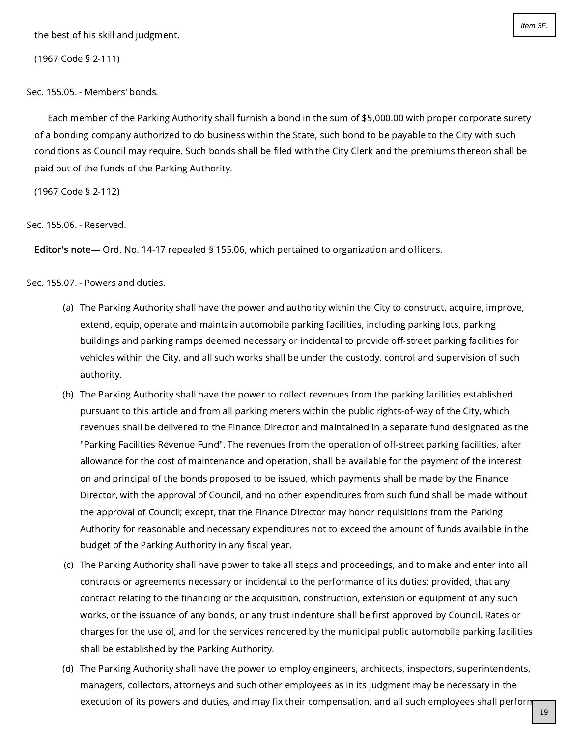the best of his skill and judgment.

(1967 Code § 2-111)

Sec. 155.05. - Members' bonds.

Each member of the Parking Authority shall furnish a bond in the sum of \$5,000.00 with proper corporate surety of a bonding company authorized to do business within the State, such bond to be payable to the City with such conditions as Council may require. Such bonds shall be filed with the City Clerk and the premiums thereon shall be paid out of the funds of the Parking Authority.

(1967 Code § 2-112)

Sec. 155.06. - Reserved.

Editor's note— Ord. No. 14-17 repealed § 155.06, which pertained to organization and officers.

Sec. 155.07. - Powers and duties.

- (a) The Parking Authority shall have the power and authority within the City to construct, acquire, improve, extend, equip, operate and maintain automobile parking facilities, including parking lots, parking buildings and parking ramps deemed necessary or incidental to provide off-street parking facilities for vehicles within the City, and all such works shall be under the custody, control and supervision of such authority.
- (b) The Parking Authority shall have the power to collect revenues from the parking facilities established pursuant to this article and from all parking meters within the public rights-of-way of the City, which revenues shall be delivered to the Finance Director and maintained in a separate fund designated as the "Parking Facilities Revenue Fund". The revenues from the operation of off-street parking facilities, after allowance for the cost of maintenance and operation, shall be available for the payment of the interest on and principal of the bonds proposed to be issued, which payments shall be made by the Finance Director, with the approval of Council, and no other expenditures from such fund shall be made without the approval of Council; except, that the Finance Director may honor requisitions from the Parking Authority for reasonable and necessary expenditures not to exceed the amount of funds available in the budget of the Parking Authority in any fiscal year.
- (c) The Parking Authority shall have power to take all steps and proceedings, and to make and enter into all contracts or agreements necessary or incidental to the performance of its duties; provided, that any contract relating to the financing or the acquisition, construction, extension or equipment of any such works, or the issuance of any bonds, or any trust indenture shall be first approved by Council. Rates or charges for the use of, and for the services rendered by the municipal public automobile parking facilities shall be established by the Parking Authority.
- (d) The Parking Authority shall have the power to employ engineers, architects, inspectors, superintendents, managers, collectors, attorneys and such other employees as in its judgment may be necessary in the execution of its powers and duties, and may fix their compensation, and all such employees shall perform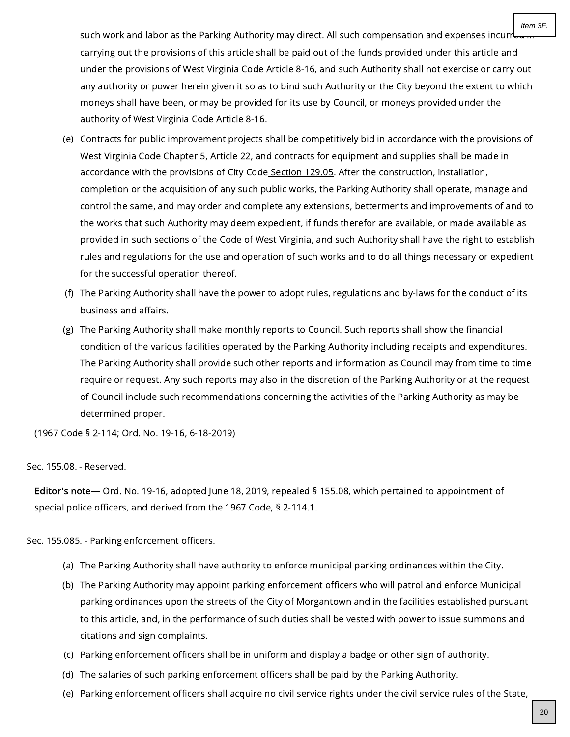such work and labor as the Parking Authority may direct. All such compensation and expenses incurre carrying out the provisions of this article shall be paid out of the funds provided under this article and under the provisions of West Virginia Code Article 8-16, and such Authority shall not exercise or carry out any authority or power herein given it so as to bind such Authority or the City beyond the extent to which moneys shall have been, or may be provided for its use by Council, or moneys provided under the authority of West Virginia Code Article 8-16.

- (e) Contracts for public improvement projects shall be competitively bid in accordance with the provisions of West Virginia Code Chapter 5, Article 22, and contracts for equipment and supplies shall be made in accordance with the provisions of City Code [Section](https://library.municode.com/) 129.05. After the construction, installation, completion or the acquisition of any such public works, the Parking Authority shall operate, manage and control the same, and may order and complete any extensions, betterments and improvements of and to the works that such Authority may deem expedient, if funds therefor are available, or made available as provided in such sections of the Code of West Virginia, and such Authority shall have the right to establish rules and regulations for the use and operation of such works and to do all things necessary or expedient for the successful operation thereof.
- (f) The Parking Authority shall have the power to adopt rules, regulations and by-laws for the conduct of its business and affairs.
- (g) The Parking Authority shall make monthly reports to Council. Such reports shall show the financial condition of the various facilities operated by the Parking Authority including receipts and expenditures. The Parking Authority shall provide such other reports and information as Council may from time to time require or request. Any such reports may also in the discretion of the Parking Authority or at the request of Council include such recommendations concerning the activities of the Parking Authority as may be determined proper.

(1967 Code § 2-114; Ord. No. 19-16, 6-18-2019)

Sec. 155.08. - Reserved.

Editor's note— Ord. No. 19-16, adopted June 18, 2019, repealed § 155.08, which pertained to appointment of special police officers, and derived from the 1967 Code, § 2-114.1.

Sec. 155.085. - Parking enforcement officers.

- (a) The Parking Authority shall have authority to enforce municipal parking ordinances within the City.
- (b) The Parking Authority may appoint parking enforcement officers who will patrol and enforce Municipal parking ordinances upon the streets of the City of Morgantown and in the facilities established pursuant to this article, and, in the performance of such duties shall be vested with power to issue summons and citations and sign complaints.
- (c) Parking enforcement officers shall be in uniform and display a badge or other sign of authority.
- (d) The salaries of such parking enforcement officers shall be paid by the Parking Authority.
- (e) Parking enforcement officers shall acquire no civil service rights under the civil service rules of the State,